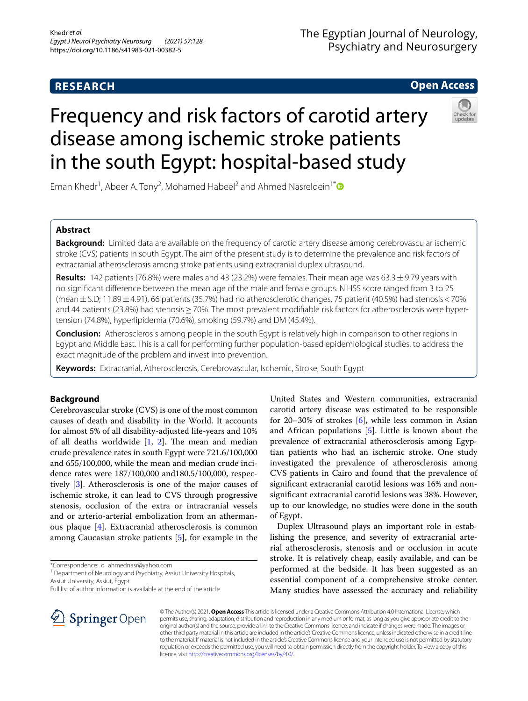# **RESEARCH**

# The Egyptian Journal of Neurology, Psychiatry and Neurosurgery

## **Open Access**

# Frequency and risk factors of carotid artery disease among ischemic stroke patients in the south Egypt: hospital-based study



Eman Khedr<sup>1</sup>, Abeer A. Tony<sup>2</sup>, Mohamed Habeel<sup>2</sup> and Ahmed Nasreldein<sup>1[\\*](http://orcid.org/0000-0002-2734-233X)</sup>

## **Abstract**

**Background:** Limited data are available on the frequency of carotid artery disease among cerebrovascular ischemic stroke (CVS) patients in south Egypt. The aim of the present study is to determine the prevalence and risk factors of extracranial atherosclerosis among stroke patients using extracranial duplex ultrasound.

**Results:** 142 patients (76.8%) were males and 43 (23.2%) were females. Their mean age was 63.3±9.79 years with no signifcant diference between the mean age of the male and female groups. NIHSS score ranged from 3 to 25 (mean±S.D; 11.89±4.91). 66 patients (35.7%) had no atherosclerotic changes, 75 patient (40.5%) had stenosis<70% and 44 patients (23.8%) had stenosis > 70%. The most prevalent modifiable risk factors for atherosclerosis were hypertension (74.8%), hyperlipidemia (70.6%), smoking (59.7%) and DM (45.4%).

**Conclusion:** Atherosclerosis among people in the south Egypt is relatively high in comparison to other regions in Egypt and Middle East. This is a call for performing further population-based epidemiological studies, to address the exact magnitude of the problem and invest into prevention.

**Keywords:** Extracranial, Atherosclerosis, Cerebrovascular, Ischemic, Stroke, South Egypt

## **Background**

Cerebrovascular stroke (CVS) is one of the most common causes of death and disability in the World. It accounts for almost 5% of all disability-adjusted life-years and 10% of all deaths worldwide  $[1, 2]$  $[1, 2]$  $[1, 2]$  $[1, 2]$  $[1, 2]$ . The mean and median crude prevalence rates in south Egypt were 721.6/100,000 and 655/100,000, while the mean and median crude incidence rates were 187/100,000 and180.5/100,000, respectively [\[3](#page-4-2)]. Atherosclerosis is one of the major causes of ischemic stroke, it can lead to CVS through progressive stenosis, occlusion of the extra or intracranial vessels and or arterio-arterial embolization from an athermanous plaque [[4\]](#page-4-3). Extracranial atherosclerosis is common among Caucasian stroke patients [\[5](#page-4-4)], for example in the

\*Correspondence: d\_ahmednasr@yahoo.com

<sup>1</sup> Department of Neurology and Psychiatry, Assiut University Hospitals, Assiut University, Assiut, Egypt

United States and Western communities, extracranial carotid artery disease was estimated to be responsible for 20–30% of strokes [\[6](#page-4-5)], while less common in Asian and African populations [[5\]](#page-4-4). Little is known about the prevalence of extracranial atherosclerosis among Egyptian patients who had an ischemic stroke. One study investigated the prevalence of atherosclerosis among CVS patients in Cairo and found that the prevalence of signifcant extracranial carotid lesions was 16% and nonsignifcant extracranial carotid lesions was 38%. However, up to our knowledge, no studies were done in the south of Egypt.

Duplex Ultrasound plays an important role in establishing the presence, and severity of extracranial arterial atherosclerosis, stenosis and or occlusion in acute stroke. It is relatively cheap, easily available, and can be performed at the bedside. It has been suggested as an essential component of a comprehensive stroke center. Many studies have assessed the accuracy and reliability



© The Author(s) 2021. **Open Access** This article is licensed under a Creative Commons Attribution 4.0 International License, which permits use, sharing, adaptation, distribution and reproduction in any medium or format, as long as you give appropriate credit to the original author(s) and the source, provide a link to the Creative Commons licence, and indicate if changes were made. The images or other third party material in this article are included in the article's Creative Commons licence, unless indicated otherwise in a credit line to the material. If material is not included in the article's Creative Commons licence and your intended use is not permitted by statutory regulation or exceeds the permitted use, you will need to obtain permission directly from the copyright holder. To view a copy of this licence, visit [http://creativecommons.org/licenses/by/4.0/.](http://creativecommons.org/licenses/by/4.0/)

Full list of author information is available at the end of the article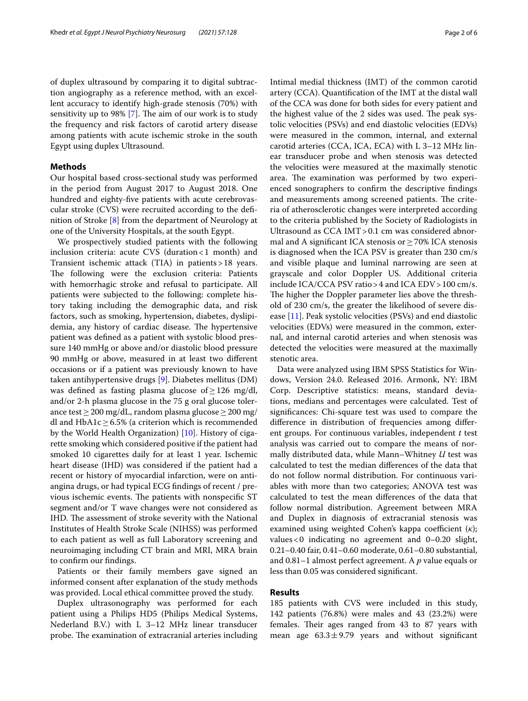of duplex ultrasound by comparing it to digital subtraction angiography as a reference method, with an excellent accuracy to identify high-grade stenosis (70%) with sensitivity up to  $98\%$  [[7\]](#page-4-6). The aim of our work is to study the frequency and risk factors of carotid artery disease among patients with acute ischemic stroke in the south Egypt using duplex Ultrasound.

#### **Methods**

Our hospital based cross-sectional study was performed in the period from August 2017 to August 2018. One hundred and eighty-fve patients with acute cerebrovascular stroke (CVS) were recruited according to the defnition of Stroke [[8\]](#page-4-7) from the department of Neurology at one of the University Hospitals, at the south Egypt.

We prospectively studied patients with the following inclusion criteria: acute CVS (duration<1 month) and Transient ischemic attack (TIA) in patients>18 years. The following were the exclusion criteria: Patients with hemorrhagic stroke and refusal to participate. All patients were subjected to the following: complete history taking including the demographic data, and risk factors, such as smoking, hypertension, diabetes, dyslipidemia, any history of cardiac disease. The hypertensive patient was defned as a patient with systolic blood pressure 140 mmHg or above and/or diastolic blood pressure 90 mmHg or above, measured in at least two diferent occasions or if a patient was previously known to have taken antihypertensive drugs [\[9](#page-4-8)]. Diabetes mellitus (DM) was defned as fasting plasma glucose of≥126 mg/dl, and/or 2-h plasma glucose in the 75 g oral glucose tolerance test  $\geq$  200 mg/dL, random plasma glucose  $\geq$  200 mg/ dl and HbA1c  $\geq$  6.5% (a criterion which is recommended by the World Health Organization) [[10\]](#page-4-9). History of cigarette smoking which considered positive if the patient had smoked 10 cigarettes daily for at least 1 year. Ischemic heart disease (IHD) was considered if the patient had a recent or history of myocardial infarction, were on antiangina drugs, or had typical ECG fndings of recent / previous ischemic events. The patients with nonspecific ST segment and/or T wave changes were not considered as IHD. The assessment of stroke severity with the National Institutes of Health Stroke Scale (NIHSS) was performed to each patient as well as full Laboratory screening and neuroimaging including CT brain and MRI, MRA brain to confrm our fndings.

Patients or their family members gave signed an informed consent after explanation of the study methods was provided. Local ethical committee proved the study.

Duplex ultrasonography was performed for each patient using a Philips HD5 (Philips Medical Systems, Nederland B.V.) with L 3–12 MHz linear transducer probe. The examination of extracranial arteries including Intimal medial thickness (IMT) of the common carotid artery (CCA). Quantifcation of the IMT at the distal wall of the CCA was done for both sides for every patient and the highest value of the 2 sides was used. The peak systolic velocities (PSVs) and end diastolic velocities (EDVs) were measured in the common, internal, and external carotid arteries (CCA, ICA, ECA) with L 3–12 MHz linear transducer probe and when stenosis was detected the velocities were measured at the maximally stenotic area. The examination was performed by two experienced sonographers to confrm the descriptive fndings and measurements among screened patients. The criteria of atherosclerotic changes were interpreted according to the criteria published by the Society of Radiologists in Ultrasound as CCA IMT>0.1 cm was considered abnormal and A significant ICA stenosis or  $\geq$  70% ICA stenosis is diagnosed when the ICA PSV is greater than 230 cm/s and visible plaque and luminal narrowing are seen at grayscale and color Doppler US. Additional criteria include ICA/CCA PSV ratio>4 and ICA EDV>100 cm/s. The higher the Doppler parameter lies above the threshold of 230 cm/s, the greater the likelihood of severe disease [[11\]](#page-4-10). Peak systolic velocities (PSVs) and end diastolic velocities (EDVs) were measured in the common, external, and internal carotid arteries and when stenosis was detected the velocities were measured at the maximally stenotic area.

Data were analyzed using IBM SPSS Statistics for Windows, Version 24.0. Released 2016. Armonk, NY: IBM Corp. Descriptive statistics: means, standard deviations, medians and percentages were calculated. Test of signifcances: Chi-square test was used to compare the diference in distribution of frequencies among diferent groups. For continuous variables, independent *t* test analysis was carried out to compare the means of normally distributed data, while Mann–Whitney *U* test was calculated to test the median diferences of the data that do not follow normal distribution. For continuous variables with more than two categories; ANOVA test was calculated to test the mean diferences of the data that follow normal distribution. Agreement between MRA and Duplex in diagnosis of extracranial stenosis was examined using weighted Cohen's kappa coefficient (*κ*); values  $< 0$  indicating no agreement and  $0-0.20$  slight, 0.21–0.40 fair, 0.41–0.60 moderate, 0.61–0.80 substantial, and 0.81–1 almost perfect agreement. A *p* value equals or less than 0.05 was considered signifcant.

## **Results**

185 patients with CVS were included in this study, 142 patients (76.8%) were males and 43 (23.2%) were females. Their ages ranged from 43 to 87 years with mean age  $63.3 \pm 9.79$  years and without significant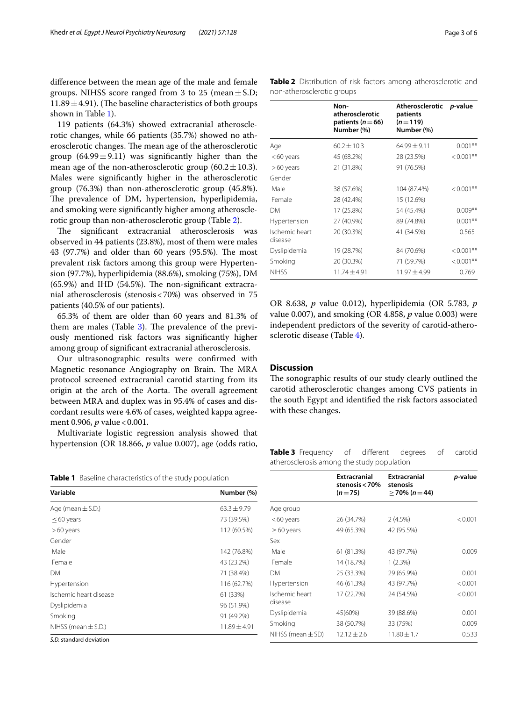diference between the mean age of the male and female groups. NIHSS score ranged from 3 to 25 (mean  $\pm$  S.D; 11.89 $\pm$ 4.91). (The baseline characteristics of both groups shown in Table [1\)](#page-2-0).

119 patients (64.3%) showed extracranial atherosclerotic changes, while 66 patients (35.7%) showed no atherosclerotic changes. The mean age of the atherosclerotic group  $(64.99 \pm 9.11)$  was significantly higher than the mean age of the non-atherosclerotic group  $(60.2 \pm 10.3)$ . Males were signifcantly higher in the atherosclerotic group (76.3%) than non-atherosclerotic group (45.8%). The prevalence of DM, hypertension, hyperlipidemia, and smoking were signifcantly higher among atherosclerotic group than non-atherosclerotic group (Table [2\)](#page-2-1).

The significant extracranial atherosclerosis was observed in 44 patients (23.8%), most of them were males 43 (97.7%) and older than 60 years (95.5%). The most prevalent risk factors among this group were Hypertension (97.7%), hyperlipidemia (88.6%), smoking (75%), DM  $(65.9%)$  and IHD  $(54.5%)$ . The non-significant extracranial atherosclerosis (stenosis<70%) was observed in 75 patients (40.5% of our patients).

65.3% of them are older than 60 years and 81.3% of them are males (Table  $3$ ). The prevalence of the previously mentioned risk factors was signifcantly higher among group of signifcant extracranial atherosclerosis.

Our ultrasonographic results were confrmed with Magnetic resonance Angiography on Brain. The MRA protocol screened extracranial carotid starting from its origin at the arch of the Aorta. The overall agreement between MRA and duplex was in 95.4% of cases and discordant results were 4.6% of cases, weighted kappa agreement 0.906, *p* value < 0.001.

Multivariate logistic regression analysis showed that hypertension (OR 18.866, *p* value 0.007), age (odds ratio,

<span id="page-2-0"></span>**Table 1** Baseline characteristics of the study population

| Variable                | Number (%)      |
|-------------------------|-----------------|
| Age (mean $\pm$ S.D.)   | $63.3 \pm 9.79$ |
| $\leq$ 60 years         | 73 (39.5%)      |
| $>60$ years             | 112 (60.5%)     |
| Gender                  |                 |
| Male                    | 142 (76.8%)     |
| Female                  | 43 (23.2%)      |
| <b>DM</b>               | 71 (38.4%)      |
| Hypertension            | 116 (62.7%)     |
| Ischemic heart disease  | 61 (33%)        |
| Dyslipidemia            | 96 (51.9%)      |
| Smoking                 | 91 (49.2%)      |
| NIHSS (mean $\pm$ S.D.) | $11.89 + 4.91$  |
|                         |                 |

*S.D.* standard deviation

<span id="page-2-1"></span>**Table 2** Distribution of risk factors among atherosclerotic and non-atherosclerotic groups

|                           | Non-<br>atherosclerotic<br>patients ( $n = 66$ )<br>Number (%) | Atherosclerotic<br>patients<br>$(n=119)$<br>Number (%) | <i>p</i> -value |
|---------------------------|----------------------------------------------------------------|--------------------------------------------------------|-----------------|
| Age                       | $60.2 \pm 10.3$                                                | $64.99 \pm 9.11$                                       | $0.001**$       |
| $<$ 60 years              | 45 (68.2%)                                                     | 28 (23.5%)                                             | $< 0.001$ **    |
| $>60$ years               | 21 (31.8%)                                                     | 91 (76.5%)                                             |                 |
| Gender                    |                                                                |                                                        |                 |
| Male                      | 38 (57.6%)                                                     | 104 (87.4%)                                            | $< 0.001**$     |
| Female                    | 28 (42.4%)                                                     | 15 (12.6%)                                             |                 |
| <b>DM</b>                 | 17 (25.8%)                                                     | 54 (45.4%)                                             | $0.009**$       |
| Hypertension              | 27 (40.9%)                                                     | 89 (74.8%)                                             | $0.001**$       |
| Ischemic heart<br>disease | 20 (30.3%)                                                     | 41 (34.5%)                                             | 0.565           |
| Dyslipidemia              | 19 (28.7%)                                                     | 84 (70.6%)                                             | $< 0.001**$     |
| Smoking                   | 20 (30.3%)                                                     | 71 (59.7%)                                             | $< 0.001**$     |
| <b>NIHSS</b>              | $11.74 \pm 4.91$                                               | $11.97 \pm 4.99$                                       | 0.769           |

OR 8.638, *p* value 0.012), hyperlipidemia (OR 5.783, *p* value 0.007), and smoking (OR 4.858, *p* value 0.003) were independent predictors of the severity of carotid-atherosclerotic disease (Table [4\)](#page-3-0).

## **Discussion**

The sonographic results of our study clearly outlined the carotid atherosclerotic changes among CVS patients in the south Egypt and identifed the risk factors associated with these changes.

<span id="page-2-2"></span>

| <b>Table 3</b> Frequency of different degrees of carotid |  |  |  |
|----------------------------------------------------------|--|--|--|
| atherosclerosis among the study population               |  |  |  |

| Extracranial<br>stenosis $<$ 70%<br>$(n=75)$ | Extracranial<br>stenosis<br>$>$ 70% (n = 44) | <i>p</i> -value |
|----------------------------------------------|----------------------------------------------|-----------------|
|                                              |                                              |                 |
| 26 (34.7%)                                   | 2(4.5%)                                      | < 0.001         |
| 49 (65.3%)                                   | 42 (95.5%)                                   |                 |
|                                              |                                              |                 |
| 61 (81.3%)                                   | 43 (97.7%)                                   | 0.009           |
| 14 (18.7%)                                   | 1(2.3%)                                      |                 |
| 25 (33.3%)                                   | 29 (65.9%)                                   | 0.001           |
| 46 (61.3%)                                   | 43 (97.7%)                                   | < 0.001         |
| 17 (22.7%)                                   | 24 (54.5%)                                   | < 0.001         |
| 45(60%)                                      | 39 (88.6%)                                   | 0.001           |
| 38 (50.7%)                                   | 33 (75%)                                     | 0.009           |
| $12.12 + 2.6$                                | $11.80 \pm 1.7$                              | 0.533           |
|                                              |                                              |                 |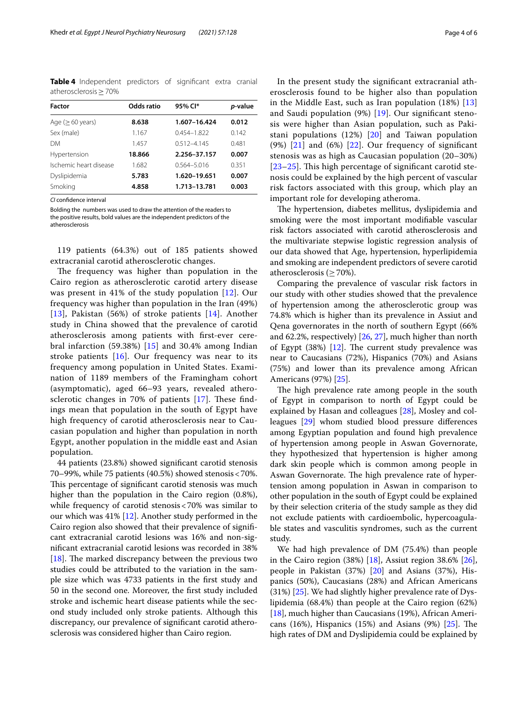<span id="page-3-0"></span>**Table 4** Independent predictors of signifcant extra cranial atherosclerosis≥70%

| <b>Factor</b>          | Odds ratio | 95% Cl*         | p-value |
|------------------------|------------|-----------------|---------|
| Age ( $\geq 60$ years) | 8.638      | 1.607-16.424    | 0.012   |
| Sex (male)             | 1.167      | 0.454-1.822     | 0.142   |
| <b>DM</b>              | 1457       | $0.512 - 4.145$ | 0.481   |
| Hypertension           | 18.866     | 2.256-37.157    | 0.007   |
| Ischemic heart disease | 1.682      | 0564-5016       | 0.351   |
| Dyslipidemia           | 5.783      | 1.620-19.651    | 0.007   |
| Smoking                | 4.858      | 1.713-13.781    | 0.003   |

*CI* confdence interval

Bolding the numbers was used to draw the attention of the readers to the positive results, bold values are the independent predictors of the atherosclerosis

119 patients (64.3%) out of 185 patients showed extracranial carotid atherosclerotic changes.

The frequency was higher than population in the Cairo region as atherosclerotic carotid artery disease was present in 41% of the study population [[12\]](#page-5-0). Our frequency was higher than population in the Iran (49%) [[13](#page-5-1)], Pakistan (56%) of stroke patients [[14](#page-5-2)]. Another study in China showed that the prevalence of carotid atherosclerosis among patients with frst-ever cerebral infarction (59.38%) [[15\]](#page-5-3) and 30.4% among Indian stroke patients  $[16]$  $[16]$ . Our frequency was near to its frequency among population in United States. Examination of 1189 members of the Framingham cohort (asymptomatic), aged 66–93 years, revealed atherosclerotic changes in 70% of patients  $[17]$  $[17]$  $[17]$ . These findings mean that population in the south of Egypt have high frequency of carotid atherosclerosis near to Caucasian population and higher than population in north Egypt, another population in the middle east and Asian population.

44 patients (23.8%) showed signifcant carotid stenosis 70–99%, while 75 patients (40.5%) showed stenosis<70%. This percentage of significant carotid stenosis was much higher than the population in the Cairo region (0.8%), while frequency of carotid stenosis<70% was similar to our which was 41% [\[12](#page-5-0)]. Another study performed in the Cairo region also showed that their prevalence of signifcant extracranial carotid lesions was 16% and non-signifcant extracranial carotid lesions was recorded in 38% [ $18$ ]. The marked discrepancy between the previous two studies could be attributed to the variation in the sample size which was 4733 patients in the frst study and 50 in the second one. Moreover, the frst study included stroke and ischemic heart disease patients while the second study included only stroke patients. Although this discrepancy, our prevalence of signifcant carotid atherosclerosis was considered higher than Cairo region.

In the present study the signifcant extracranial atherosclerosis found to be higher also than population in the Middle East, such as Iran population (18%) [\[13](#page-5-1)] and Saudi population (9%) [\[19](#page-5-7)]. Our signifcant stenosis were higher than Asian population, such as Pakistani populations (12%) [[20\]](#page-5-8) and Taiwan population  $(9%)$   $[21]$  $[21]$  $[21]$  and  $(6%)$   $[22]$  $[22]$ . Our frequency of significant stenosis was as high as Caucasian population (20–30%)  $[23–25]$  $[23–25]$  $[23–25]$  $[23–25]$ . This high percentage of significant carotid stenosis could be explained by the high percent of vascular risk factors associated with this group, which play an important role for developing atheroma.

The hypertension, diabetes mellitus, dyslipidemia and smoking were the most important modifable vascular risk factors associated with carotid atherosclerosis and the multivariate stepwise logistic regression analysis of our data showed that Age, hypertension, hyperlipidemia and smoking are independent predictors of severe carotid atherosclerosis  $($ >70%).

Comparing the prevalence of vascular risk factors in our study with other studies showed that the prevalence of hypertension among the atherosclerotic group was 74.8% which is higher than its prevalence in Assiut and Qena governorates in the north of southern Egypt (66% and 62.2%, respectively) [[26,](#page-5-13) [27](#page-5-14)], much higher than north of Egypt  $(38%)$  [\[12](#page-5-0)]. The current study prevalence was near to Caucasians (72%), Hispanics (70%) and Asians (75%) and lower than its prevalence among African Americans (97%) [[25\]](#page-5-12).

The high prevalence rate among people in the south of Egypt in comparison to north of Egypt could be explained by Hasan and colleagues [\[28](#page-5-15)], Mosley and colleagues [[29\]](#page-5-16) whom studied blood pressure diferences among Egyptian population and found high prevalence of hypertension among people in Aswan Governorate, they hypothesized that hypertension is higher among dark skin people which is common among people in Aswan Governorate. The high prevalence rate of hypertension among population in Aswan in comparison to other population in the south of Egypt could be explained by their selection criteria of the study sample as they did not exclude patients with cardioembolic, hypercoagulable states and vasculitis syndromes, such as the current study.

We had high prevalence of DM (75.4%) than people in the Cairo region  $(38%)$  [[18](#page-5-6)], Assiut region 38.6% [\[26](#page-5-13)], people in Pakistan (37%) [[20](#page-5-8)] and Asians (37%), Hispanics (50%), Caucasians (28%) and African Americans  $(31%)$  [\[25](#page-5-12)]. We had slightly higher prevalence rate of Dyslipidemia (68.4%) than people at the Cairo region (62%) [[18\]](#page-5-6), much higher than Caucasians (19%), African Americans (16%), Hispanics (15%) and Asians (9%)  $[25]$  $[25]$ . The high rates of DM and Dyslipidemia could be explained by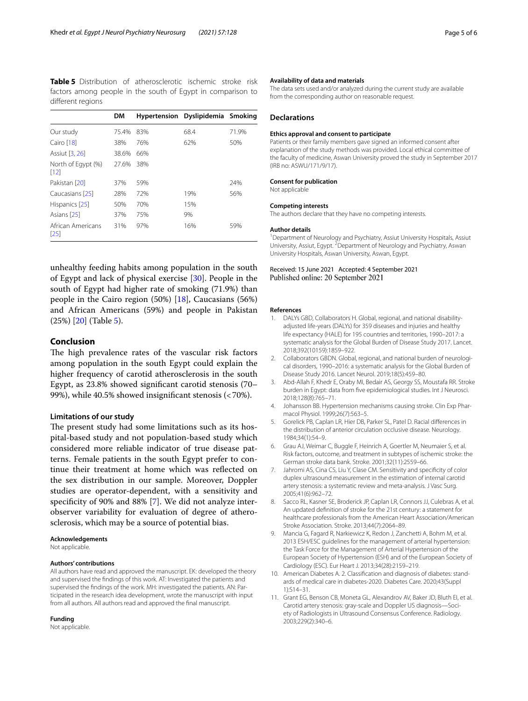<span id="page-4-11"></span>**Table 5** Distribution of atherosclerotic ischemic stroke risk factors among people in the south of Egypt in comparison to diferent regions

|                            | DM    |     | Hypertension Dyslipidemia Smoking |       |
|----------------------------|-------|-----|-----------------------------------|-------|
| Our study                  | 75.4% | 83% | 68.4                              | 71.9% |
| Cairo [18]                 | 38%   | 76% | 62%                               | 50%   |
| Assiut [3, 26]             | 38.6% | 66% |                                   |       |
| North of Eqypt (%)<br>[12] | 27.6% | 38% |                                   |       |
| Pakistan [20]              | 37%   | 59% |                                   | 24%   |
| Caucasians [25]            | 28%   | 72% | 19%                               | 56%   |
| Hispanics [25]             | 50%   | 70% | 1.5%                              |       |
| Asians [25]                | 37%   | 75% | 9%                                |       |
| African Americans<br>[25]  | 31%   | 97% | 16%                               | 59%   |

unhealthy feeding habits among population in the south of Egypt and lack of physical exercise [[30\]](#page-5-17). People in the south of Egypt had higher rate of smoking (71.9%) than people in the Cairo region (50%) [[18\]](#page-5-6), Caucasians (56%) and African Americans (59%) and people in Pakistan (25%) [\[20](#page-5-8)] (Table [5](#page-4-11)).

## **Conclusion**

The high prevalence rates of the vascular risk factors among population in the south Egypt could explain the higher frequency of carotid atherosclerosis in the south Egypt, as 23.8% showed signifcant carotid stenosis (70– 99%), while 40.5% showed insignifcant stenosis (<70%).

## **Limitations of our study**

The present study had some limitations such as its hospital-based study and not population-based study which considered more reliable indicator of true disease patterns. Female patients in the south Egypt prefer to continue their treatment at home which was refected on the sex distribution in our sample. Moreover, Doppler studies are operator-dependent, with a sensitivity and specifcity of 90% and 88% [[7\]](#page-4-6). We did not analyze interobserver variability for evaluation of degree of atherosclerosis, which may be a source of potential bias.

#### **Acknowledgements**

Not applicable.

#### **Authors' contributions**

All authors have read and approved the manuscript. EK: developed the theory and supervised the fndings of this work. AT: Investigated the patients and supervised the fndings of the work. MH: investigated the patients. AN: Participated in the research idea development, wrote the manuscript with input from all authors. All authors read and approved the fnal manuscript.

#### **Funding**

Not applicable.

#### **Availability of data and materials**

The data sets used and/or analyzed during the current study are available from the corresponding author on reasonable request.

## **Declarations**

#### **Ethics approval and consent to participate**

Patients or their family members gave signed an informed consent after explanation of the study methods was provided. Local ethical committee of the faculty of medicine, Aswan University proved the study in September 2017 (IRB no: ASWU/171/9/17).

#### **Consent for publication**

Not applicable

#### **Competing interests**

The authors declare that they have no competing interests.

#### **Author details**

<sup>1</sup> Department of Neurology and Psychiatry, Assiut University Hospitals, Assiut University, Assiut, Egypt.<sup>2</sup> Department of Neurology and Psychiatry, Aswan University Hospitals, Aswan University, Aswan, Egypt.

#### Received: 15 June 2021 Accepted: 4 September 2021 Published online: 20 September 2021

#### **References**

- <span id="page-4-0"></span>1. DALYs GBD, Collaborators H. Global, regional, and national disabilityadjusted life-years (DALYs) for 359 diseases and injuries and healthy life expectancy (HALE) for 195 countries and territories, 1990–2017: a systematic analysis for the Global Burden of Disease Study 2017. Lancet. 2018;392(10159):1859–922.
- <span id="page-4-1"></span>2. Collaborators GBDN. Global, regional, and national burden of neurological disorders, 1990–2016: a systematic analysis for the Global Burden of Disease Study 2016. Lancet Neurol. 2019;18(5):459–80.
- <span id="page-4-2"></span>3. Abd-Allah F, Khedr E, Oraby MI, Bedair AS, Georgy SS, Moustafa RR. Stroke burden in Egypt: data from fve epidemiological studies. Int J Neurosci. 2018;128(8):765–71.
- <span id="page-4-3"></span>4. Johansson BB. Hypertension mechanisms causing stroke. Clin Exp Pharmacol Physiol. 1999;26(7):563–5.
- <span id="page-4-4"></span>5. Gorelick PB, Caplan LR, Hier DB, Parker SL, Patel D. Racial diferences in the distribution of anterior circulation occlusive disease. Neurology. 1984;34(1):54–9.
- <span id="page-4-5"></span>6. Grau AJ, Weimar C, Buggle F, Heinrich A, Goertler M, Neumaier S, et al. Risk factors, outcome, and treatment in subtypes of ischemic stroke: the German stroke data bank. Stroke. 2001;32(11):2559–66.
- <span id="page-4-6"></span>7. Jahromi AS, Cina CS, Liu Y, Clase CM. Sensitivity and specifcity of color duplex ultrasound measurement in the estimation of internal carotid artery stenosis: a systematic review and meta-analysis. J Vasc Surg. 2005;41(6):962–72.
- <span id="page-4-7"></span>8. Sacco RL, Kasner SE, Broderick JP, Caplan LR, Connors JJ, Culebras A, et al. An updated defnition of stroke for the 21st century: a statement for healthcare professionals from the American Heart Association/American Stroke Association. Stroke. 2013;44(7):2064–89.
- <span id="page-4-8"></span>9. Mancia G, Fagard R, Narkiewicz K, Redon J, Zanchetti A, Bohm M, et al. 2013 ESH/ESC guidelines for the management of arterial hypertension: the Task Force for the Management of Arterial Hypertension of the European Society of Hypertension (ESH) and of the European Society of Cardiology (ESC). Eur Heart J. 2013;34(28):2159–219.
- <span id="page-4-9"></span>10. American Diabetes A. 2. Classifcation and diagnosis of diabetes: standards of medical care in diabetes-2020. Diabetes Care. 2020;43(Suppl 1):S14–31.
- <span id="page-4-10"></span>11. Grant EG, Benson CB, Moneta GL, Alexandrov AV, Baker JD, Bluth EI, et al. Carotid artery stenosis: gray-scale and Doppler US diagnosis—Society of Radiologists in Ultrasound Consensus Conference. Radiology. 2003;229(2):340–6.